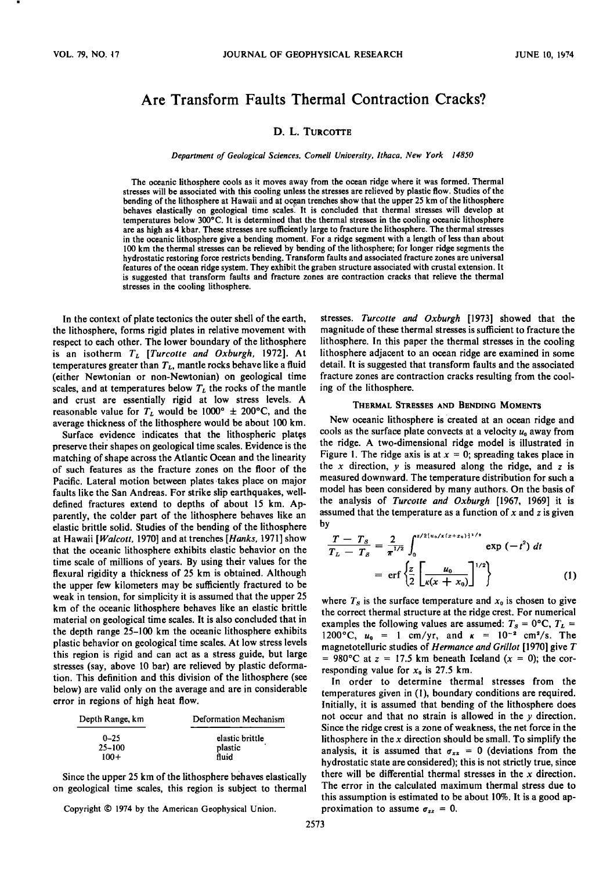# Are Transform Faults Thermal Contraction Cracks?

# D. L. TURCOTTE

#### *Department of Geological Sciences. Cornell University. Ithaca. New York 14850*

The oceanic lithosphere cools as it moves away from the ocean ridge where it was formed. Thermal stresses will be associated with this cooling unless the stresses are relieved by plastic flow. Studies of the bending of the lithosphere at Hawaii and at ocean trenches show that the upper 25 km of the lithosphere behaves elastically on geological time scales. It is concluded that thermal stresses will develop at temperatures below 300°C. It is determined that the thermal stresses in the cooling oceanic lithosphere are as high as 4 kbar. These stresses are sufficiently large to fracture the lithosphere. The thermal stresses in the oceanic lithosphere give a bending moment. For a ridge segment with a length of less than about 100 km the thermal stresses can be relieved by bending of the lithosphere; for longer ridge segments the hydrostatic restoring force restricts bending. Transform faults and associated fracture zones are universal features of the ocean ridge system. They exhibit the graben structure associated with crustal extension. It is suggested that transform faults and fracture zones are contraction cracks that relieve the thermal stresses in the cooling lithosphere.

In the context of plate tectonics the outer shell of the earth, the lithosphere, forms rigid plates in relative movement with respect to each other. The lower boundary of the lithosphere is an isotherm *TL [Turcotte and Oxburgh.* 1972]. At temperatures greater than  $T_L$ , mantle rocks behave like a fluid (either Newtonian or non-Newtonian) on geological time scales, and at temperatures below  $T<sub>L</sub>$  the rocks of the mantle and crust are essentially rigid at low stress levels. A reasonable value for  $T_L$  would be 1000°  $\pm$  200°C, and the average thickness of the lithosphere would be about 100 km.

Surface evidence indicates that the lithospheric plates preserve their shapes on geological time scales. Evidence is the matching of shape across the Atlantic Ocean and the linearity of such features as the fracture zones on the floor of the Pacific. Lateral motion between plates takes place on major faults like the San Andreas. For strike slip earthquakes, welldefined fractures extend to depths of about 15 km. Apparently, the colder part of the lithosphere behaves like an elastic brittle solid. Studies of the bending of the lithosphere at Hawaii *[Walcott.* 1970] and at trenches *[Hanks.* 1971] show that the oceanic lithosphere exhibits elastic behavior on the time scale of millions of years. By using their values for the flexural rigidity a thickness of 25 km is obtained. Although the upper few kilometers may be sufficiently fractured to be weak in tension, for simplicity it is assumed that the upper 25 km of the oceanic lithosphere behaves like an elastic brittle material on geological time scales. It is also concluded that in the depth range 25-100 km the oceanic lithosphere exhibits plastic behavior on geological time scales. At low stress levels this region is rigid and can act as a stress guide, but large stresses (say, above 10 bar) are relieved by plastic deformation. This definition and this division of the lithosphere (see below) are valid only on the average and are in considerable error in regions of high heat flow.

| Depth Range, km        | Deformation Mechanism      |
|------------------------|----------------------------|
| $0 - 25$<br>$25 - 100$ | elastic brittle<br>plastic |
| $100+$                 | fluid                      |

Since the upper 25 km of the lithosphere behaves elastically on geological time scales, this region is subject to thermal

Copyright © 1974 by the American Geophysical Union.

2573

stresses. *Turcotte and Oxburgh* [1973] showed that the magnitude of these thermal stresses is sufficient to fracture the lithosphere. In this paper the thermal stresses in the cooling lithosphere adjacent to an ocean ridge are examined in some detail. It is suggested that transform faults and the associated fracture zones are contraction cracks resulting from the cooling of the lithosphere.

#### THERMAL STRESSES AND BENDING MOMENTS

New oceanic lithosphere is created at an ocean ridge and cools as the surface plate convects at a velocity *Uo* away from the ridge. A two-dimensional ridge model is illustrated in Figure 1. The ridge axis is at  $x = 0$ ; spreading takes place in the  $x$  direction,  $y$  is measured along the ridge, and  $z$  is measured downward. The temperature distribution for such a model has been considered by many authors. On the basis of the analysis of *Turcotte and Oxburgh* [1967, 1969] it is assumed that the temperature as a function of *x* and z is given by

$$
\frac{T - T_s}{T_L - T_s} = \frac{2}{\pi^{1/2}} \int_0^{r/2 \{u_0 / \kappa (x + x_0)\}^{1/2}} \exp(-t^2) dt
$$
  
=  $\text{erf} \left\{ \frac{z}{2} \left[ \frac{u_0}{\kappa (x + x_0)} \right]^{1/2} \right\}$  (1)

where  $T_s$  is the surface temperature and  $x_0$  is chosen to give the correct thermal structure at the ridge crest. For numerical examples the following values are assumed:  $T_s = 0$ °C,  $T_L =$ 1200°C,  $u_0 = 1$  cm/vr, and  $\kappa = 10^{-2}$  cm<sup>2</sup>/s. The magnetotelluric studies of *Hermance and Grillot* [1970] give *T*  = 980°C at  $z = 17.5$  km beneath Iceland  $(x = 0)$ ; the corresponding value for  $x_0$  is 27.5 km.

In order to determine thermal stresses from the temperatures given in (I), boundary conditions are required. Initially, it is assumed that bending of the lithosphere does not occur and that no strain is allowed in the  $\nu$  direction. Since the ridge crest is a zone of weakness, the net force in the lithosphere in the *x* direction should be small. To simplify the analysis, it is assumed that  $\sigma_{xx} = 0$  (deviations from the hydrostatic state are considered); this is not strictly true, since there will be differential thermal stresses in the *x* direction. The error in the calculated maximum thermal stress due to this assumption is estimated to be about 10%. It is a good approximation to assume  $\sigma_{zz} = 0$ .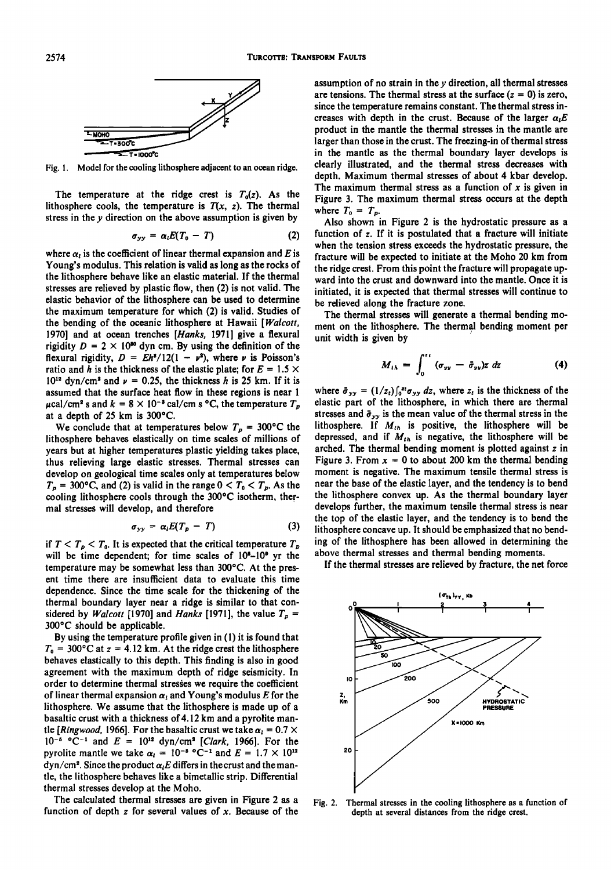

Fig. I. Model for the cooling lithosphere adjacent to an ocean ridge.

The temperature at the ridge crest is  $T_0(z)$ . As the lithosphere cools, the temperature is  $T(x, z)$ . The thermal stress in the  $y$  direction on the above assumption is given by

$$
\sigma_{yy} = \alpha_i E(T_0 - T) \tag{2}
$$

where  $\alpha_i$  is the coefficient of linear thermal expansion and *E* is Young's modulus. This relation is valid as long as the rocks of the lithosphere behave like an elastic material. If the thermal stresses are relieved by plastic flow, then (2) is not valid. The elastic behavior of the lithosphere can be used to determine the maximum temperature for which (2) is valid. Studies of the bending of the oceanic lithosphere at Hawaii *[Walcott.*  1970] and at ocean trenches *[Hanks.* 1971] give a flexural rigidity  $D = 2 \times 10^{30}$  dyn cm. By using the definition of the flexural rigidity,  $D = Eh^3/12(1 - v^2)$ , where v is Poisson's ratio and *h* is the thickness of the elastic plate; for  $E = 1.5 \times$  $10^{12}$  dyn/cm<sup>2</sup> and  $\nu = 0.25$ , the thickness h is 25 km. If it is assumed that the surface heat flow in these regions is near 1  $\mu$ cal/cm<sup>2</sup> s and  $k = 8 \times 10^{-5}$  cal/cm s °C, the temperature  $T_p$ at a depth of 25 km is 300°C.

We conclude that at temperatures below  $T_p = 300$ °C the lithosphere behaves elastically on time scales of millions of years but at higher temperatures plastic yielding takes place, thus relieving large elastic stresses. Thermal stresses can develop on geological time scales only at temperatures below  $T_p = 300$ °C, and (2) is valid in the range  $0 < T_0 < T_p$ . As the cooling lithosphere cools through the 300°C isotherm, thermal stresses will develop, and therefore

$$
\sigma_{yy} = \alpha_l E(T_p - T) \tag{3}
$$

if  $T < T_p < T_0$ . It is expected that the critical temperature  $T_p$ will be time dependent; for time scales of  $10<sup>8</sup>-10<sup>9</sup>$  yr the temperature may be somewhat less than 300°C. At the present time there are insufficient data to evaluate this time dependence. Since the time scale for the thickening of the thermal boundary layer near a ridge is similar to that considered by *Walcott* [1970] and *Hanks* [1971], the value  $T_p$  = 300°C should be applicable.

By using the temperature profile given in (1) it is found that  $T_0 = 300$ °C at  $z = 4.12$  km. At the ridge crest the lithosphere behaves elastically to this depth. This finding is also in good agreement with the maximum depth of ridge seismicity. In order to determine thermal stresses we require the coefficient of linear thermal expansion  $\alpha_i$  and Young's modulus E for the lithosphere. We assume that the lithosphere is made up of a basaltic crust with a thickness of 4.12 km and a pyrolite mantle *[Ringwood, 1966]*. For the basaltic crust we take  $\alpha_i = 0.7 \times$  $10^{-8}$  °C<sup>-1</sup> and  $E = 10^{12}$  dyn/cm<sup>2</sup> [Clark, 1966]. For the pyrolite mantle we take  $\alpha_l = 10^{-5} {}^{\circ}C^{-1}$  and  $E = 1.7 \times 10^{12}$  $\frac{dyn/cm^2}{}$ . Since the product  $\alpha_i E$  differs in the crust and the mantle, the lithosphere behaves like a bimetallic strip. Differential thermal stresses develop at the Moho.

The calculated thermal stresses are given in Figure 2 as a function of depth z for several values of *x.* Because of the assumption of no strain in the *y* direction, all thermal stresses are tensions. The thermal stress at the surface  $(z = 0)$  is zero, since the temperature remains constant. The thermal stress increases with depth in the crust. Because of the larger  $\alpha_i E$ product in the mantle the thermal stresses in the mantle are larger than those in the crust. The freezing-in of thermal stress in the mantle as the thermal boundary layer develops is clearly illustrated, and the thermal stress decreases with depth. Maximum thermal stresses of about 4 kbar develop. The maximum thermal stress as a function of *x* is given in Figure 3. The maximum thermal stress occurs at the depth where  $T_0 = T_p$ .

Also shown in Figure 2 is the hydrostatic pressure as a function of z. If it is postulated that a fracture will initiate when the tension stress exceeds the hydrostatic pressure, the fracture will be expected to initiate at the Moho 20 km from the ridge crest. From this point the fracture will propagate upward into the crust and downward into the mantle. Once it is initiated, it is expected that thermal stresses will continue to be relieved along the fracture zone.

The thermal stresses will generate a thermal bending moment on the lithosphere. The thermal bending moment per unit width is given by

$$
M_{th} = \int_0^{t} (\sigma_{yy} - \bar{\sigma}_{yy}) z \ dz \qquad (4)
$$

where  $\bar{\sigma}_{yy} = (1/z_t)\int_0^{z_t} \sigma_{yy} dz$ , where  $z_t$  is the thickness of the elastic part of the lithosphere, in which there are thermal stresses and  $\bar{\sigma}_{yy}$  is the mean value of the thermal stress in the lithosphere. If  $M_{th}$  is positive, the lithosphere will be depressed, and if  $M_{th}$  is negative, the lithosphere will be arched. The thermal bending moment is plotted against z in Figure 3. From  $x = 0$  to about 200 km the thermal bending moment is negative. The maximum tensile thermal stress is near the base of the elastic layer, and the tendency is to bend the lithosphere convex up. As the thermal boundary layer develops further, the maximum tensile thermal stress is near the top of the elastic layer, and the tendency is to bend the lithosphere concave up. It should be emphasized that no bending of the lithosphere has been allowed in determining the above thermal stresses and thermal bending moments.

If the thermal stresses are relieved by fracture, the net force



Fig. 2. Thermal stresses in the cooling lithosphere as a function of depth at several distances from the ridge crest.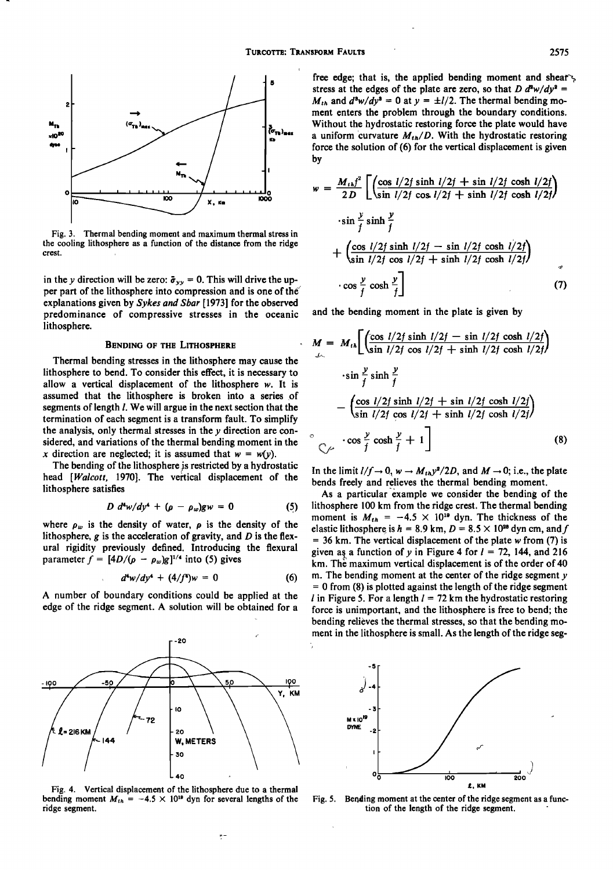

Fig. 3. Thermal bending moment and maximum thermal stress in the cooling lithosphere as a function of the distance from the ridge crest.

in the y direction will be zero:  $\bar{\sigma}_{yy} = 0$ . This will drive the upper part of the lithosphere into compression and is one of the explanations given by *Sykes and Sbar* [1973] for the observed predominance of compressive stresses in the oceanic lithosphere.

## BENDING OF THE LITHOSPHERE

Thermal bending stresses in the lithosphere may cause the lithosphere to bend. To consider this effect, it is necessary to allow a vertical displacement of the lithosphere *w.* It is assumed that the lithosphere is broken into a series of segments of length *l*. We will argue in the next section that the termination of each segment is a transform fault. To simplify the analysis, only thermal stresses in the y direction are considered, and variations of the thermal bending moment in the *x* direction are neglected; it is assumed that  $w = w(y)$ .

The bending of the lithosphere is restricted by a hydrostatic head *[Walcott.* 1970]. The vertical displacement of the lithosphere satisfies

$$
D d^4 w/dy^4 + (\rho - \rho_w)gw = 0 \qquad (5)
$$

where  $\rho_w$  is the density of water,  $\rho$  is the density of the lithosphere,  $g$  is the acceleration of gravity, and  $D$  is the flexural rigidity previously defined. Introducing the flexural parameter  $f = [4D/(\rho - \rho_w)g]^{1/4}$  into (5) gives

$$
d^4w/dy^4 + (4/f^4)w = 0 \tag{6}
$$

A number of boundary conditions could be applied at the edge of the ridge segment. A solution will be obtained for a



Fig. 4. Vertical displacement of the lithosphere due to a thermal bending moment  $M_{th} = -4.5 \times 10^{10}$  dyn for several lengths of the ridge segment.

 $\frac{1}{2}$ 

free edge; that is, the applied bending moment and sheaf stress at the edges of the plate are zero, so that  $D d^2w/dy^2 =$  $M_{th}$  and  $d^3w/dy^3 = 0$  at  $y = \pm l/2$ . The thermal bending moment enters the problem through the boundary conditions. Without the hydrostatic restoring force the plate would have a uniform curvature  $M_{th}/D$ . With the hydrostatic restoring force the solution of (6) for the vertical displacement is given by

$$
w = \frac{M_{th}j^2}{2D} \left[ \left( \frac{\cos l/2f \sinh l/2f + \sin l/2f \cosh l/2f}{\sin l/2f \cos l/2f + \sinh l/2f \cosh l/2f} \right) \right]
$$
  
\n
$$
-\sin \frac{y}{f} \sinh \frac{y}{f}
$$
  
\n
$$
+\left( \frac{\cos l/2f \sinh l/2f - \sin l/2f \cosh l/2f}{\sin l/2f \cos l/2f + \sinh l/2f \cosh l/2f} \right)
$$
  
\n
$$
-\cos \frac{y}{f} \cosh \frac{y}{f} \right]
$$
  
\n(7)

and the bending moment in the plate is given by

$$
M = M_{th} \left[ \left( \frac{\cos l/2f \sinh l/2f - \sin l/2f \cosh l/2f}{\sin l/2f \cos l/2f + \sinh l/2f \cosh l/2f} \right) \right]
$$
  

$$
\cdot \sin \frac{y}{f} \sinh \frac{y}{f}
$$
  

$$
- \left( \frac{\cos l/2f \sinh l/2f + \sin l/2f \cosh l/2f}{\sin l/2f \cos l/2f + \sinh l/2f \cosh l/2f} \right)
$$
  

$$
\cos \frac{y}{f} \cosh \frac{y}{f} + 1 \right]
$$
(8)

In the limit  $1/f \rightarrow 0$ ,  $w \rightarrow M_{th}y^2/2D$ , and  $M \rightarrow 0$ ; i.e., the plate bends freely and relieves the thermal bending moment.

As a particular example we consider the bending of the lithosphere 100 km from the ridge crest. The thermal bending moment is  $M_{th} = -4.5 \times 10^{10}$  dyn. The thickness of the elastic lithosphere is  $h = 8.9$  km,  $D = 8.5 \times 10^{28}$  dyn cm, and f  $=$  36 km. The vertical displacement of the plate w from (7) is given as a function of *y* in Figure 4 for  $l = 72$ , 144, and 216 km. The maximum vertical displacement is of the order of 40 m. The bending moment at the center of the ridge segment  $y$  $= 0$  from (8) is plotted against the length of the ridge segment *l* in Figure 5. For a length  $l = 72$  km the hydrostatic restoring force is unimportant, and the lithosphere is free to bend; the bending relieves the thermal stresses, so that the bending moment in the lithosphere is small. As the length of the ridge seg-



Fig. 5. Bending moment at the center of the ridge segment as a function of the length of the ridge segment.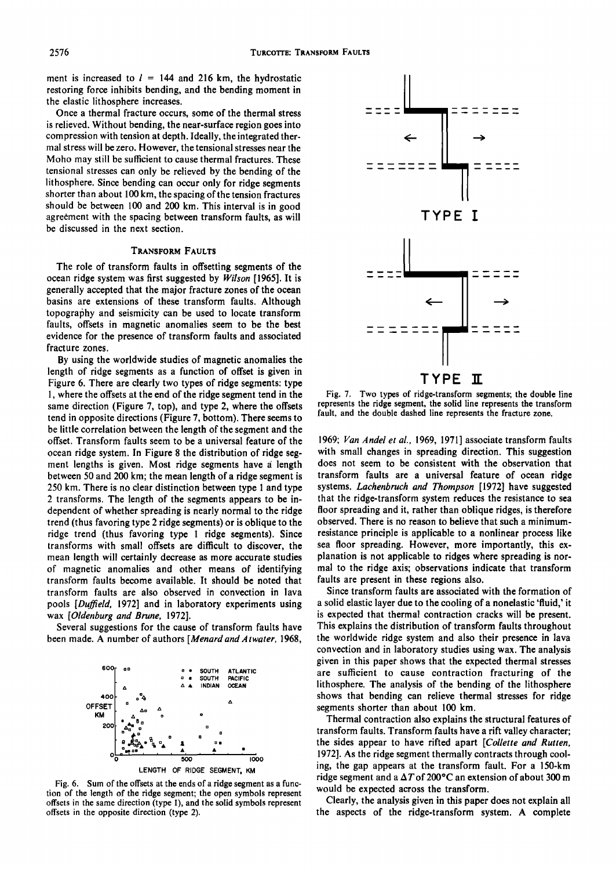ment is increased to  $l = 144$  and 216 km, the hydrostatic restoring force inhibits bending, and the bending moment in the elastic lithosphere increases.

Once a thermal fracture occurs, some of the thermal stress is relieved. Without bending, the near-surface region goes into compression with tension at depth. Ideally, the integrated thermal stress will be zero. However, the tensional stresses near the Moho may still be sufficient to cause thermal fractures. These tensional stresses can only be relieved by the bending of the lithosphere. Since bending can occur only for ridge segments shorter than about 100 km, the spacing of the tension fractures should be between 100 and 200 km. This interval is in good agreement with the spacing between transform faults, as will be discussed in the next section.

## TRANSFORM FAULTS

The role of transform faults in offsetting segments of the ocean ridge system was first suggested by *Wilson* [1965]. It is generally accepted that the major fracture zones of the ocean basins are extensions of these transform faults. Although topography and seismicity can be used to locate transform faults, offsets in magnetic anomalies seem to be the best evidence for the presence of transform faults and associated fracture zones.

By using the worldwide studies of magnetic anomalies the length of ridge segments as a function of offset is given in Figure 6. There are clearly two types of ridge segments: type I, where the offsets at the end of the ridge segment tend in the same direction (Figure 7, top), and type 2, where the offsets tend in opposite directions (Figure 7, bottom). There seems to be little correlation between the length of the segment and the offset. Transform faults seem to be a universal feature of the ocean ridge system. In Figure 8 the distribution of ridge segment lengths is given. Most ridge segments have a length between 50 and 200 km; the mean length of a ridge segment is 250 km. There is no clear distinction between type 1 and type 2 transforms. The length of the segments appears to be independent of whether spreading is nearly normal to the ridge trend (thus favoring type 2 ridge segments) or is oblique to the ridge trend (thus favoring type 1 ridge segments). Since transforms with small offsets are difficult to discover, the mean length will certainly decrease as more accurate studies of magnetic anomalies and other means of identifying transform faults become available. It should be noted that transform faults are also observed in convection in lava pools *[Duffield,* 1972] and in laboratory experiments using wax *[Oldenburg and Brune, 1972].* 

Several suggestions for the cause of transform faults have been made. A number of authors *[Menard and Atwater, 1968,* 







Fig. 7. Two types of ridge-transform segments; the double line represents the ridge segment, the solid line represents the transform fault, and the double dashed line represents the fracture zone.

*1969; Van Andel et al.,* 1969, 1971] associate transform faults with small changes in spreading direction. This suggestion does not seem to be consistent with the observation that transform faults are a universal feature of ocean ridge systems. *Lachenbruch and Thompson* [1972] have suggested that the ridge-transform system reduces the resistance to sea floor spreading and it, rather than oblique ridges, is therefore observed. There is no reason to believe that such a minimumresistance principle is applicable to a nonlinear process like sea floor spreading. However, more importantly, this explanation is not applicable to ridges where spreading is normal to the ridge axis; observations indicate that transform faults are present in these regions also.

Since transform faults are associated with the formation of a solid elastic layer due to the cooling of a nonelastic 'fluid,' it is expected that thermal contraction cracks will be present. This explains the distribution of transform faults throughout the worldwide ridge system and also their presence in lava convection and in laboratory studies using wax. The analysis given in this paper shows that the expected thermal stresses are sufficient to cause contraction fracturing of the lithosphere. The analysis of the bending of the lithosphere shows that bending can relieve thermal stresses for ridge segments shorter than about 100 km.

Thermal contraction also explains the structural features of transform faults. Transform faults have a rift valley character; the sides appear to have rifted apart *[Collette and Rutten,*  1972]. As the ridge segment thermally contracts through cooling, the gap appears at the transform fault. For a 150-km ridge segment and a  $\Delta T$  of 200°C an extension of about 300 m would be expected across the transform.

Clearly, the analysis given in this paper does not explain all the aspects of the ridge-transform system. A complete